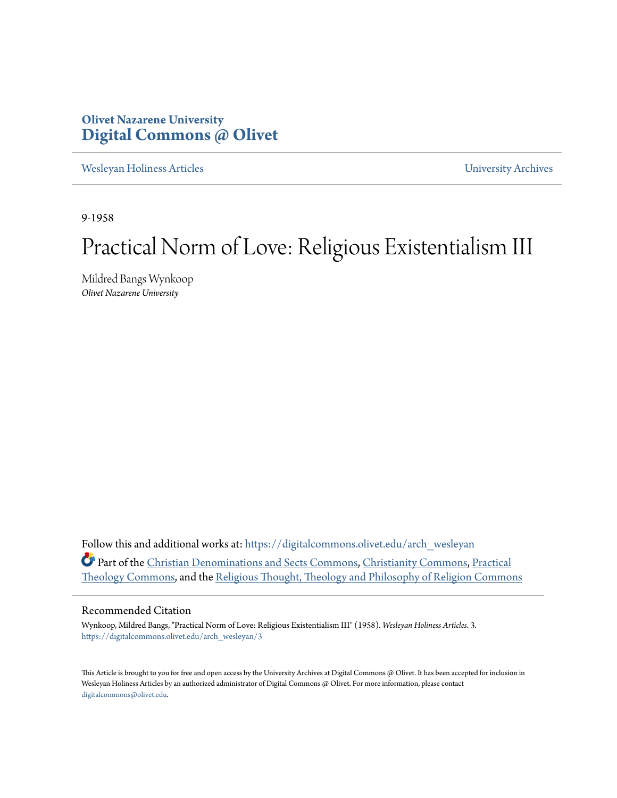### **Olivet Nazarene University [Digital Commons @ Olivet](https://digitalcommons.olivet.edu?utm_source=digitalcommons.olivet.edu%2Farch_wesleyan%2F3&utm_medium=PDF&utm_campaign=PDFCoverPages)**

[Wesleyan Holiness Articles](https://digitalcommons.olivet.edu/arch_wesleyan?utm_source=digitalcommons.olivet.edu%2Farch_wesleyan%2F3&utm_medium=PDF&utm_campaign=PDFCoverPages) [University Archives](https://digitalcommons.olivet.edu/arch?utm_source=digitalcommons.olivet.edu%2Farch_wesleyan%2F3&utm_medium=PDF&utm_campaign=PDFCoverPages)

9-1958

# Practical Norm of Love: Religious Existentialism III

Mildred Bangs Wynkoop *Olivet Nazarene University*

Follow this and additional works at: [https://digitalcommons.olivet.edu/arch\\_wesleyan](https://digitalcommons.olivet.edu/arch_wesleyan?utm_source=digitalcommons.olivet.edu%2Farch_wesleyan%2F3&utm_medium=PDF&utm_campaign=PDFCoverPages) Part of the [Christian Denominations and Sects Commons](http://network.bepress.com/hgg/discipline/1184?utm_source=digitalcommons.olivet.edu%2Farch_wesleyan%2F3&utm_medium=PDF&utm_campaign=PDFCoverPages), [Christianity Commons,](http://network.bepress.com/hgg/discipline/1181?utm_source=digitalcommons.olivet.edu%2Farch_wesleyan%2F3&utm_medium=PDF&utm_campaign=PDFCoverPages) [Practical](http://network.bepress.com/hgg/discipline/1186?utm_source=digitalcommons.olivet.edu%2Farch_wesleyan%2F3&utm_medium=PDF&utm_campaign=PDFCoverPages) [Theology Commons,](http://network.bepress.com/hgg/discipline/1186?utm_source=digitalcommons.olivet.edu%2Farch_wesleyan%2F3&utm_medium=PDF&utm_campaign=PDFCoverPages) and the [Religious Thought, Theology and Philosophy of Religion Commons](http://network.bepress.com/hgg/discipline/544?utm_source=digitalcommons.olivet.edu%2Farch_wesleyan%2F3&utm_medium=PDF&utm_campaign=PDFCoverPages)

#### Recommended Citation

Wynkoop, Mildred Bangs, "Practical Norm of Love: Religious Existentialism III" (1958). *Wesleyan Holiness Articles*. 3. [https://digitalcommons.olivet.edu/arch\\_wesleyan/3](https://digitalcommons.olivet.edu/arch_wesleyan/3?utm_source=digitalcommons.olivet.edu%2Farch_wesleyan%2F3&utm_medium=PDF&utm_campaign=PDFCoverPages)

This Article is brought to you for free and open access by the University Archives at Digital Commons @ Olivet. It has been accepted for inclusion in Wesleyan Holiness Articles by an authorized administrator of Digital Commons @ Olivet. For more information, please contact [digitalcommons@olivet.edu.](mailto:digitalcommons@olivet.edu)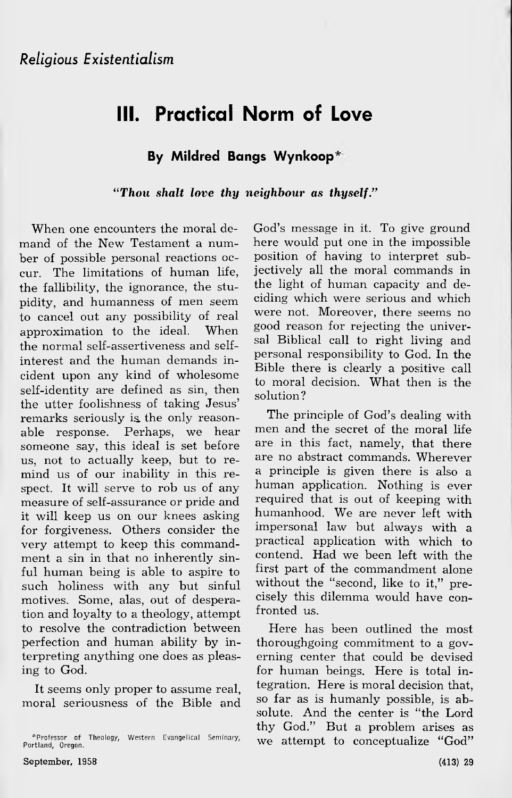## **III. Practical Norm of Love**

#### **By Mildred Bangs Wynkoop\***

*"Thou shalt love thy neighbour as thyself."*

When one encounters the moral demand of the New Testament a number of possible personal reactions occur. The limitations of human life, the fallibility, the ignorance, the stupidity, and humanness of men seem to cancel out any possibility of real approximation to the ideal. When the normal self-assertiveness and selfinterest and the human demands incident upon any kind of wholesome self-identity are defined as sin, then the utter foolishness of taking Jesus' remarks seriously is the only reasonable response. Perhaps, we hear someone say, this ideal is set before us, not to actually keep, but to remind us of our inability in this respect. It will serve to rob us of any measure of self-assurance or pride and it will keep us on our knees asking for forgiveness. Others consider the very attempt to keep this commandment a sin in that no inherently sinful human being is able to aspire to such holiness with any but sinful motives. Some, alas, out of desperation and loyalty to a theology, attempt to resolve the contradiction between perfection and human ability by interpreting anything one does as pleasing to God.

It seems only proper to assume real, moral seriousness of the Bible and God's message in it. To give ground here would put one in the impossible position of having to interpret subjectively all the moral commands in the light of human capacity and deciding which were serious and which were not. Moreover, there seems no good reason for rejecting the universal Biblical call to right living and personal responsibility to God. In the Bible there is clearly a positive call to moral decision. What then is the solution?

The principle of God's dealing with men and the secret of the moral life are in this fact, namely, that there are no abstract commands. Wherever a principle is given there is also a human application. Nothing is ever required that is out of keeping with humanhood. We are never left with impersonal law but always with a practical application with which to contend. Had we been left with the first part of the commandment alone without the "second, like to it," precisely this dilemma would have confronted us.

Here has been outlined the most thoroughgoing commitment to a governing center that could be devised for human beings. Here is total integration. Here is moral decision that, so far as is humanly possible, is absolute. And the center is "the Lord thy God." But a problem arises as we attempt to conceptualize "God"

<sup>^</sup>Professor of Theology, Western Evangelical Seminary, Portland, Oregon.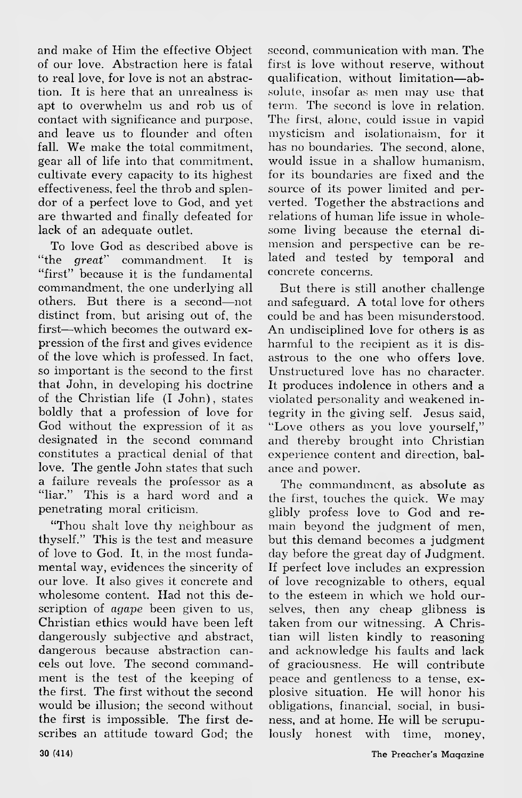and make of Him the effective Object of our love. Abstraction here is fatal to real love, for love is not an abstraction. It is here that an unrealness is apt to overwhelm us and rob us of contact with significance and purpose, and leave us to flounder and often fall. We make the total commitment. gear all of life into that commitment, cultivate every capacity to its highest effectiveness, feel the throb and splendor of a perfect love to God, and yet are thwarted and finally defeated for lack of an adequate outlet.

To love God as described above is " the *great''* commandment. It is "first" because it is the fundamental commandment, the one underlying all others. But there is a second— not distinct from, but arising out of, the first— which becomes the outward expression of the first and gives evidence of the love which is professed. In fact, so important is the second to the first that John, in developing his doctrine of the Christian life  $(I$  John), states boldly that a profession of love for God without the expression of it as designated in the second command constitutes a practical denial of that love. The gentle John states that such a failure reveals the professor as a "liar." This is a hard word and a penetrating moral criticism.

" Thou shalt love thy neighbour as thyself." This is the test and measure of love to God. It, in the most fundamental way, evidences the sincerity of our love. It also gives it concrete and wholesome content. Had not this description of *agape* been given to us, Christian ethics would have been left dangerously subjective and abstract, dangerous because abstraction cancels out love. The second commandment is the test of the keeping of the first. The first without the second would be illusion; the second without the first is impossible. The first describes an attitude toward God; the second, communication with man. The first is love without reserve, without qualification, without limitation-absolute, insofar as men may use that term. The second is love in relation. The first, alone, could issue in vapid mysticism and isolationaism, for it has no boundaries. The second, alone, would issue in a shallow humanism, for its boundaries are fixed and the source of its power limited and perverted. Together the abstractions and relations of human life issue in wholesome living because the eternal dimension and perspective can be related and tested by temporal and concrete concerns.

But there is still another challenge and safeguard. A total love for others could be and has been misunderstood. An undisciplined love for others is as harmful to the recipient as it is disastrous to the one who offers love. Unstructured love has no character. It produces indolence in others and a violated personality and weakened integrity in the giving self. Jesus said, "Love others as you love yourself," and thereby brought into Christian experience content and direction, balance and power.

The commandment, as absolute as the first, touches the quick. We may glibly profess love to God and remain beyond the judgment of men, but this demand becomes a judgment day before the great day of Judgment. If perfect love includes an expression of love recognizable to others, equal to the esteem in which we hold ourselves, then any cheap glibness is taken from our witnessing. A Christian will listen kindly to reasoning and acknowledge his faults and lack of graciousness. He will contribute peace and gentleness to a tense, explosive situation. He will honor his obligations, financial, social, in business, and at home. He will be scrupulously honest with time, money,